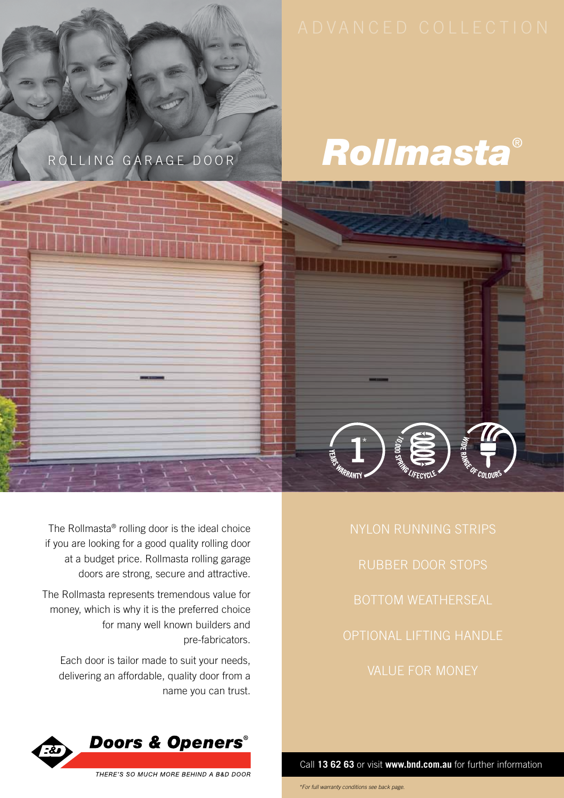



VALUE FOR MONEY

The Rollmasta® rolling door is the ideal choice if you are looking for a good quality rolling door at a budget price. Rollmasta rolling garage doors are strong, secure and attractive.

The Rollmasta represents tremendous value for money, which is why it is the preferred choice for many well known builders and pre-fabricators.

Each door is tailor made to suit your needs, delivering an affordable, quality door from a name you can trust.



Call **13 62 63** or visit **www.bnd.com.au** for further information

**1**

T

T T τ Ť T 70 T

T